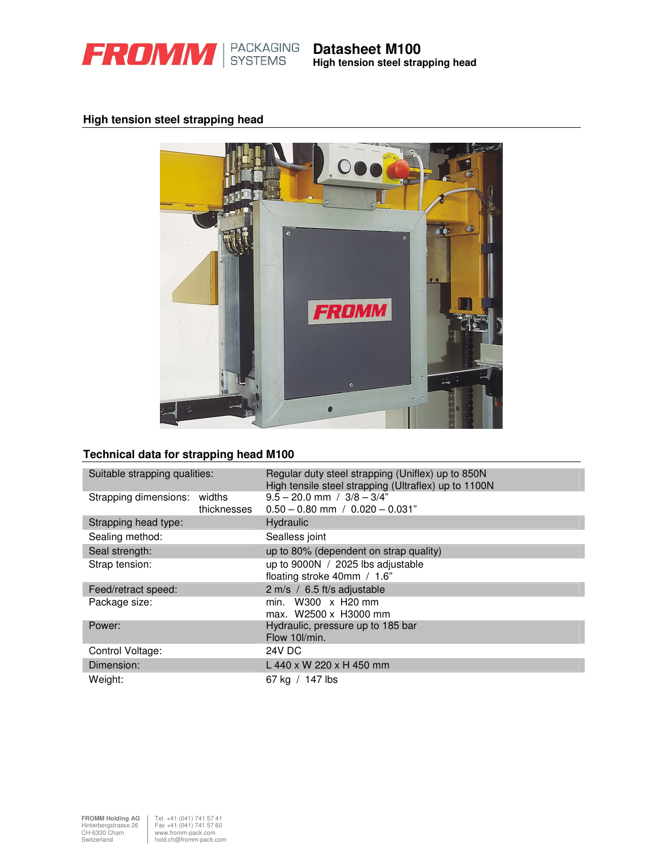

**High tension steel strapping head**

# **High tension steel strapping head**



## **Technical data for strapping head M100**

| Suitable strapping qualities:                  | Regular duty steel strapping (Uniflex) up to 850N<br>High tensile steel strapping (Ultraflex) up to 1100N |  |  |  |
|------------------------------------------------|-----------------------------------------------------------------------------------------------------------|--|--|--|
| Strapping dimensions:<br>widths<br>thicknesses | $9.5 - 20.0$ mm $/ 3/8 - 3/4$ "<br>$0.50 - 0.80$ mm $/ 0.020 - 0.031$ "                                   |  |  |  |
| Strapping head type:                           | Hydraulic                                                                                                 |  |  |  |
| Sealing method:                                | Sealless joint                                                                                            |  |  |  |
| Seal strength:                                 | up to 80% (dependent on strap quality)                                                                    |  |  |  |
| Strap tension:                                 | up to 9000N / 2025 lbs adjustable<br>floating stroke 40mm / 1.6"                                          |  |  |  |
| Feed/retract speed:                            | 2 m/s / 6.5 ft/s adjustable                                                                               |  |  |  |
| Package size:                                  | min. W300 x H20 mm<br>max. W2500 x H3000 mm                                                               |  |  |  |
| Power:                                         | Hydraulic, pressure up to 185 bar<br>Flow 10l/min.                                                        |  |  |  |
| Control Voltage:                               | 24V DC                                                                                                    |  |  |  |
| Dimension:                                     | L 440 x W 220 x H 450 mm                                                                                  |  |  |  |
| Weight:                                        | 67 kg / 147 lbs                                                                                           |  |  |  |